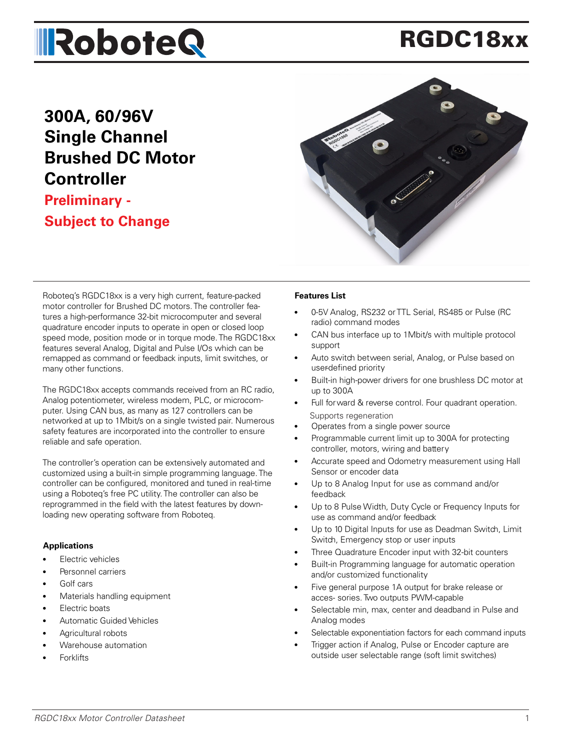# **IRoboteQ**

# RGDC18xx

### **300A, 60/96V Single Channel Brushed DC Motor Controller**

#### **Preliminary - Subject to Change**



Roboteq's RGDC18xx is a very high current, feature-packed motor controller for Brushed DC motors. The controller features a high-performance 32-bit microcomputer and several quadrature encoder inputs to operate in open or closed loop speed mode, position mode or in torque mode. The RGDC18xx features several Analog, Digital and Pulse I/Os which can be remapped as command or feedback inputs, limit switches, or many other functions.

The RGDC18xx accepts commands received from an RC radio, Analog potentiometer, wireless modem, PLC, or microcomputer. Using CAN bus, as many as 127 controllers can be networked at up to 1Mbit/s on a single twisted pair. Numerous safety features are incorporated into the controller to ensure reliable and safe operation.

The controller's operation can be extensively automated and customized using a built-in simple programming language. The controller can be configured, monitored and tuned in real-time using a Roboteq's free PC utility. The controller can also be reprogrammed in the field with the latest features by downloading new operating software from Roboteq.

#### **Applications**

- **Electric vehicles**
- Personnel carriers
- Golf cars
- Materials handling equipment
- Electric boats
- Automatic Guided Vehicles
- Agricultural robots
- Warehouse automation
- **Forklifts**

#### **Features List**

- 0-5V Analog, RS232 or TTL Serial, RS485 or Pulse (RC radio) command modes
- CAN bus interface up to 1Mbit/s with multiple protocol support
- Auto switch between serial, Analog, or Pulse based on user-defined priority
- Built-in high-power drivers for one brushless DC motor at up to 300A
- Full for ward & reverse control. Four quadrant operation. Supports regeneration
- Operates from a single power source
- Programmable current limit up to 300A for protecting controller, motors, wiring and battery
- Accurate speed and Odometry measurement using Hall Sensor or encoder data
- Up to 8 Analog Input for use as command and/or feedback
- Up to 8 Pulse Width, Duty Cycle or Frequency Inputs for use as command and/or feedback
- Up to 10 Digital Inputs for use as Deadman Switch, Limit Switch, Emergency stop or user inputs
- Three Quadrature Encoder input with 32-bit counters
- Built-in Programming language for automatic operation and/or customized functionality
- Five general purpose 1A output for brake release or acces- sories. Two outputs PWM-capable
- Selectable min, max, center and deadband in Pulse and Analog modes
- Selectable exponentiation factors for each command inputs
- Trigger action if Analog, Pulse or Encoder capture are outside user selectable range (soft limit switches)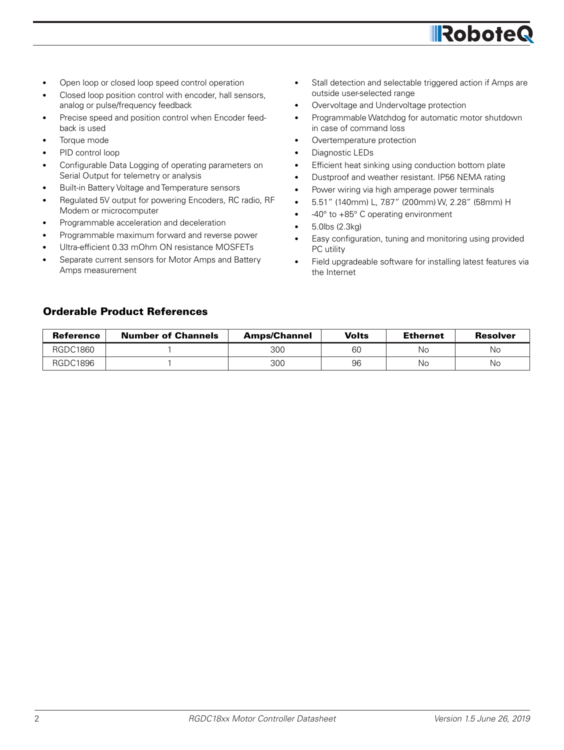

- Open loop or closed loop speed control operation
- Closed loop position control with encoder, hall sensors, analog or pulse/frequency feedback
- Precise speed and position control when Encoder feedback is used
- Torque mode
- PID control loop
- Configurable Data Logging of operating parameters on Serial Output for telemetry or analysis
- Built-in Battery Voltage and Temperature sensors
- Regulated 5V output for powering Encoders, RC radio, RF Modem or microcomputer
- Programmable acceleration and deceleration
- Programmable maximum forward and reverse power
- Ultra-efficient 0.33 mOhm ON resistance MOSFETs
- Separate current sensors for Motor Amps and Battery Amps measurement
- Stall detection and selectable triggered action if Amps are outside user-selected range
- Overvoltage and Undervoltage protection
- Programmable Watchdog for automatic motor shutdown in case of command loss
- Overtemperature protection
- Diagnostic LEDs
- Efficient heat sinking using conduction bottom plate
- Dustproof and weather resistant. IP56 NEMA rating
- Power wiring via high amperage power terminals
- 5.51" (140mm) L, 7.87" (200mm) W, 2.28" (58mm) H
- -40° to +85° C operating environment
- 5.0lbs (2.3kg)
- Easy configuration, tuning and monitoring using provided PC utility
- Field upgradeable software for installing latest features via the Internet

#### Orderable Product References

| <b>Reference</b> | <b>Number of Channels</b> | <b>Amps/Channel</b> | Volts | <b>Ethernet</b> | <b>Resolver</b> |
|------------------|---------------------------|---------------------|-------|-----------------|-----------------|
| RGDC1860         |                           | 300                 | 60    | No              | No              |
| RGDC1896         |                           | 300                 | 96    | Nс              | No              |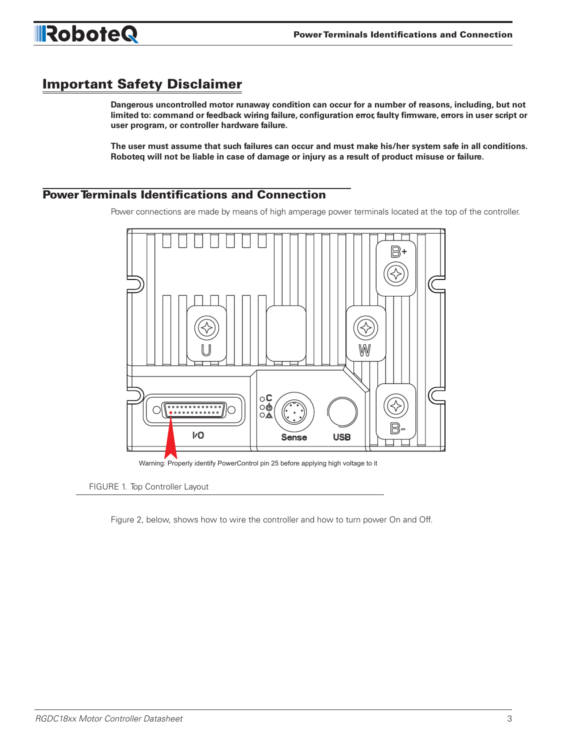

#### Important Safety Disclaimer

**Dangerous uncontrolled motor runaway condition can occur for a number of reasons, including, but not limited to: command or feedback wiring failure, configuration error, faulty firmware, errors in user script or user program, or controller hardware failure.**

**The user must assume that such failures can occur and must make his/her system safe in all conditions. Roboteq will not be liable in case of damage or injury as a result of product misuse or failure.**

#### Power Terminals Identifications and Connection

Power connections are made by means of high amperage power terminals located at the top of the controller.



Warning: Properly identify PowerControl pin 25 before applying high voltage to it

FIGURE 1. Top Controller Layout

Figure 2, below, shows how to wire the controller and how to turn power On and Off.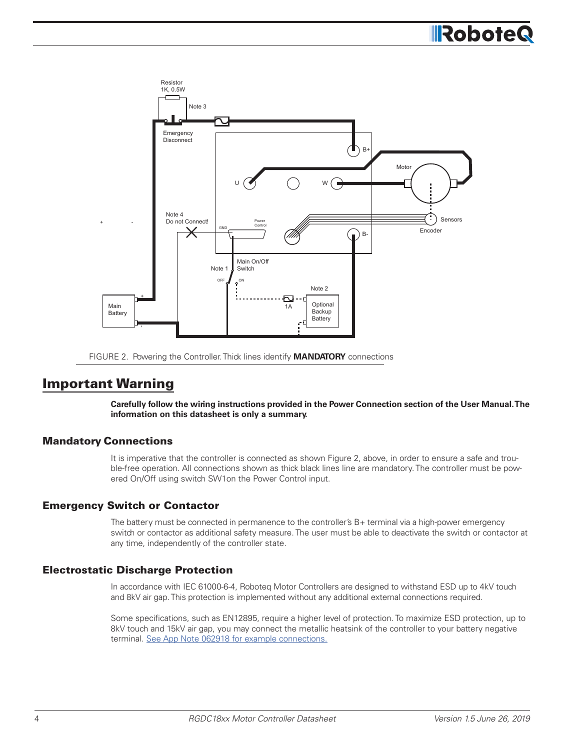# **IRobote**





#### Important Warning

**Carefully follow the wiring instructions provided in the Power Connection section of the User Manual. The information on this datasheet is only a summary.**

#### Mandatory Connections

It is imperative that the controller is connected as shown Figure 2, above, in order to ensure a safe and trouble-free operation. All connections shown as thick black lines line are mandatory. The controller must be powered On/Off using switch SW1on the Power Control input.

#### Emergency Switch or Contactor

The battery must be connected in permanence to the controller's B+ terminal via a high-power emergency switch or contactor as additional safety measure. The user must be able to deactivate the switch or contactor at any time, independently of the controller state.

#### Electrostatic Discharge Protection

In accordance with IEC 61000-6-4, Roboteq Motor Controllers are designed to withstand ESD up to 4kV touch and 8kV air gap. This protection is implemented without any additional external connections required.

Some specifications, such as EN12895, require a higher level of protection. To maximize ESD protection, up to 8kV touch and 15kV air gap, you may connect the metallic heatsink of the controller to your battery negative terminal. See App Note 062918 for example connections.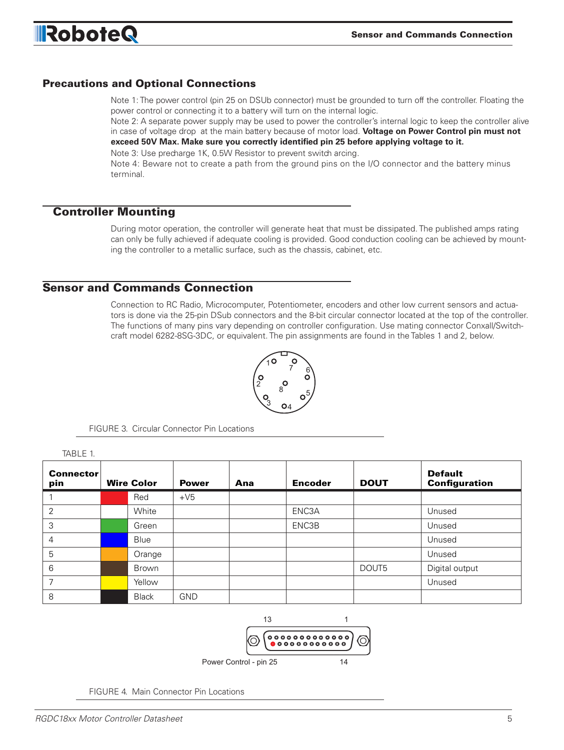

#### Precautions and Optional Connections

Note 1: The power control (pin 25 on DSUb connector) must be grounded to turn off the controller. Floating the power control or connecting it to a battery will turn on the internal logic.

Note 2: A separate power supply may be used to power the controller's internal logic to keep the controller alive in case of voltage drop at the main battery because of motor load. **Voltage on Power Control pin must not exceed 50V Max. Make sure you correctly identified pin 25 before applying voltage to it.**

Note 3: Use precharge 1K, 0.5W Resistor to prevent switch arcing.

Note 4: Beware not to create a path from the ground pins on the I/O connector and the battery minus terminal.

#### Controller Mounting

TABLE 1

During motor operation, the controller will generate heat that must be dissipated. The published amps rating can only be fully achieved if adequate cooling is provided. Good conduction cooling can be achieved by mounting the controller to a metallic surface, such as the chassis, cabinet, etc.

#### Sensor and Commands Connection

Connection to RC Radio, Microcomputer, Potentiometer, encoders and other low current sensors and actuators is done via the 25-pin DSub connectors and the 8-bit circular connector located at the top of the controller. The functions of many pins vary depending on controller configuration. Use mating connector Conxall/Switchcraft model 6282-8SG-3DC, or equivalent. The pin assignments are found in the Tables 1 and 2, below.



FIGURE 3. Circular Connector Pin Locations

| . . <del>.</del>        |                   |              |     |                |             |                                        |
|-------------------------|-------------------|--------------|-----|----------------|-------------|----------------------------------------|
| <b>Connector</b><br>pin | <b>Wire Color</b> | <b>Power</b> | Ana | <b>Encoder</b> | <b>DOUT</b> | <b>Default</b><br><b>Configuration</b> |
|                         | Red               | $+V5$        |     |                |             |                                        |
| $\overline{2}$          | White             |              |     | ENC3A          |             | Unused                                 |
| 3                       | Green             |              |     | ENC3B          |             | Unused                                 |
| 4                       | Blue              |              |     |                |             | Unused                                 |
| 5                       | Orange            |              |     |                |             | Unused                                 |
| 6                       | Brown             |              |     |                | DOUT5       | Digital output                         |
|                         | Yellow            |              |     |                |             | Unused                                 |
| 8                       | <b>Black</b>      | <b>GND</b>   |     |                |             |                                        |



FIGURE 4. Main Connector Pin Locations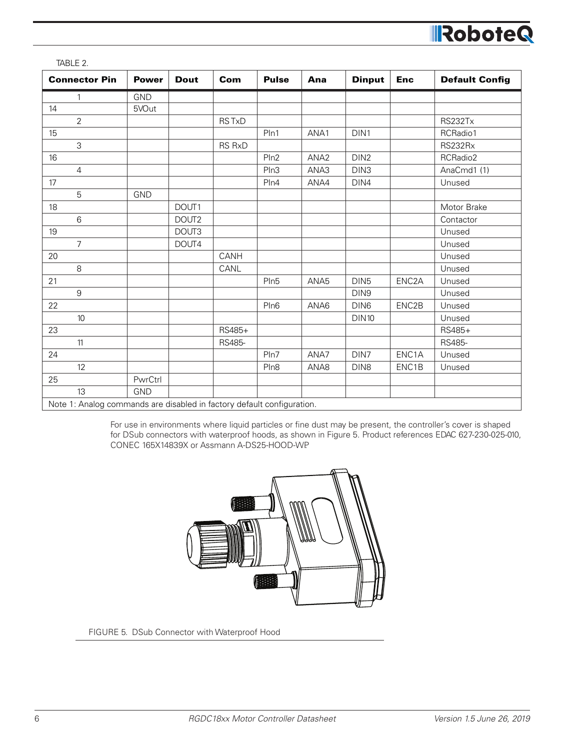| <b>Connector Pin</b>                                                   | <b>Power</b> | <b>Dout</b> | Com           | <b>Pulse</b>     | Ana              | <b>Dinput</b>    | <b>Enc</b>         | <b>Default Config</b> |
|------------------------------------------------------------------------|--------------|-------------|---------------|------------------|------------------|------------------|--------------------|-----------------------|
| $\mathbf{1}$                                                           | <b>GND</b>   |             |               |                  |                  |                  |                    |                       |
| 14                                                                     | 5VOut        |             |               |                  |                  |                  |                    |                       |
| $\overline{2}$                                                         |              |             | <b>RSTxD</b>  |                  |                  |                  |                    | RS232Tx               |
| 15                                                                     |              |             |               | Pln1             | ANA1             | DIN1             |                    | RCRadio1              |
| 3                                                                      |              |             | <b>RS RxD</b> |                  |                  |                  |                    | RS232Rx               |
| 16                                                                     |              |             |               | Pln2             | ANA <sub>2</sub> | DIN <sub>2</sub> |                    | RCRadio2              |
| $\overline{4}$                                                         |              |             |               | Pln3             | ANA3             | DIN3             |                    | AnaCmd1 (1)           |
| 17                                                                     |              |             |               | Pln4             | ANA4             | DIN4             |                    | Unused                |
| 5                                                                      | GND          |             |               |                  |                  |                  |                    |                       |
| 18                                                                     |              | DOUT1       |               |                  |                  |                  |                    | Motor Brake           |
| 6                                                                      |              | DOUT2       |               |                  |                  |                  |                    | Contactor             |
| 19                                                                     |              | DOUT3       |               |                  |                  |                  |                    | Unused                |
| $\overline{7}$                                                         |              | DOUT4       |               |                  |                  |                  |                    | Unused                |
| 20                                                                     |              |             | CANH          |                  |                  |                  |                    | Unused                |
| 8                                                                      |              |             | CANL          |                  |                  |                  |                    | Unused                |
| 21                                                                     |              |             |               | Pln5             | ANA5             | DIN <sub>5</sub> | ENC <sub>2</sub> A | Unused                |
| 9                                                                      |              |             |               |                  |                  | DIN9             |                    | Unused                |
| 22                                                                     |              |             |               | Pln <sub>6</sub> | ANA6             | DIN <sub>6</sub> | ENC2B              | Unused                |
| 10                                                                     |              |             |               |                  |                  | <b>DIN10</b>     |                    | Unused                |
| 23                                                                     |              |             | RS485+        |                  |                  |                  |                    | RS485+                |
| 11                                                                     |              |             | RS485-        |                  |                  |                  |                    | RS485-                |
| 24                                                                     |              |             |               | Pln7             | ANA7             | DIN7             | ENC1A              | Unused                |
| $12 \overline{ }$                                                      |              |             |               | Pln <sub>8</sub> | ANA8             | DIN <sub>8</sub> | ENC1B              | Unused                |
| 25                                                                     | PwrCtrl      |             |               |                  |                  |                  |                    |                       |
| 13                                                                     | <b>GND</b>   |             |               |                  |                  |                  |                    |                       |
| Note 1: Analog commands are disabled in factory default configuration. |              |             |               |                  |                  |                  |                    |                       |

TABLE 2.

For use in environments where liquid particles or fine dust may be present, the controller's cover is shaped for DSub connectors with waterproof hoods, as shown in Figure 5. Product references EDAC 627-230-025-010, CONEC 165X14839X or Assmann A-DS25-HOOD-WP.



FIGURE 5. DSub Connector with Waterproof Hood

RoboteQ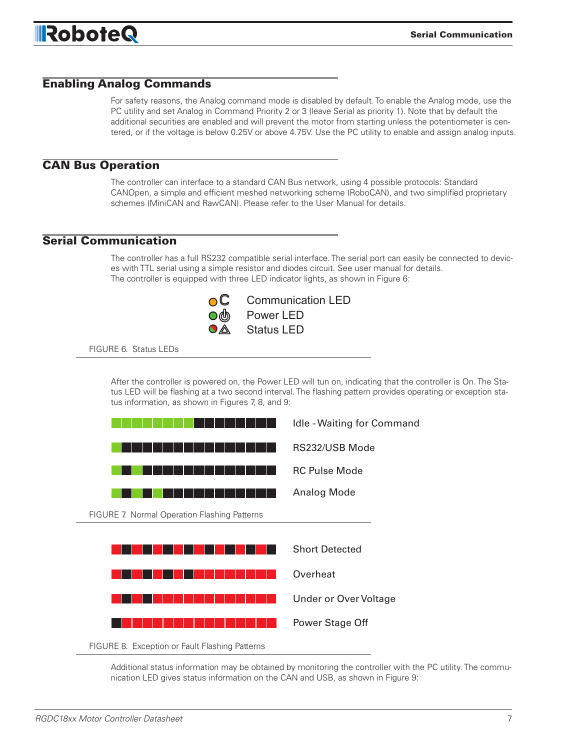

#### Enabling Analog Commands

For safety reasons, the Analog command mode is disabled by default. To enable the Analog mode, use the PC utility and set Analog in Command Priority 2 or 3 (leave Serial as priority 1). Note that by default the additional securities are enabled and will prevent the motor from starting unless the potentiometer is centered, or if the voltage is below 0.25V or above 4.75V. Use the PC utility to enable and assign analog inputs.

#### CAN Bus Operation

The controller can interface to a standard CAN Bus network, using 4 possible protocols: Standard CANOpen, a simple and efficient meshed networking scheme (RoboCAN), and two simplified proprietary schemes (MiniCAN and RawCAN). Please refer to the User Manual for details.

#### Serial Communication

The controller has a full RS232 compatible serial interface. The serial port can easily be connected to devices with TTL serial using a simple resistor and diodes circuit. See user manual for details. The controller is equipped with three LED indicator lights, as shown in Figure 6:



FIGURE 6. Status LEDs

After the controller is powered on, the Power LED will tun on, indicating that the controller is On. The Status LED will be flashing at a two second interval. The flashing pattern provides operating or exception status information, as shown in Figures 7, 8, and 9:



Additional status information may be obtained by monitoring the controller with the PC utility. The communication LED gives status information on the CAN and USB, as shown in Figure 9: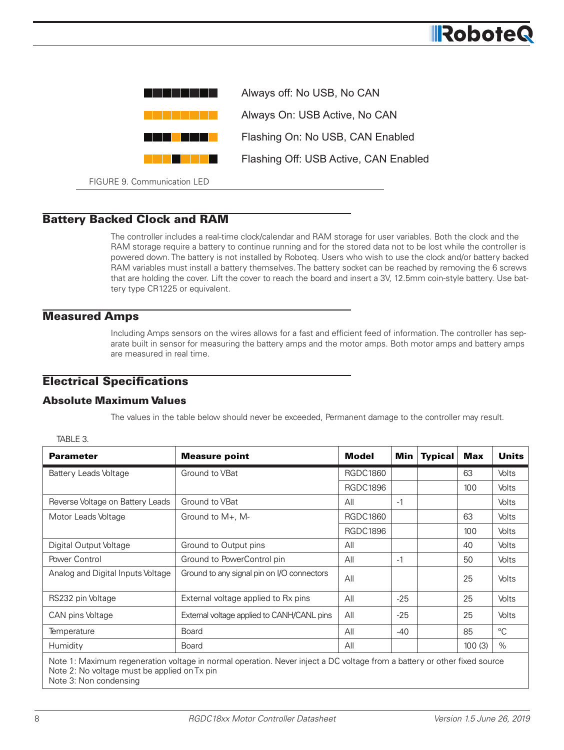

FIGURE 9. Communication LED

#### Battery Backed Clock and RAM

The controller includes a real-time clock/calendar and RAM storage for user variables. Both the clock and the RAM storage require a battery to continue running and for the stored data not to be lost while the controller is powered down. The battery is not installed by Roboteq. Users who wish to use the clock and/or battery backed RAM variables must install a battery themselves. The battery socket can be reached by removing the 6 screws that are holding the cover. Lift the cover to reach the board and insert a 3V, 12.5mm coin-style battery. Use battery type CR1225 or equivalent.

#### Measured Amps

Including Amps sensors on the wires allows for a fast and efficient feed of information. The controller has separate built in sensor for measuring the battery amps and the motor amps. Both motor amps and battery amps are measured in real time.

#### Electrical Specifications

#### Absolute Maximum Values

The values in the table below should never be exceeded, Permanent damage to the controller may result.

| <b>Parameter</b>                  | <b>Measure point</b>                       | <b>Model</b>    | Min   | <b>Typical</b> | <b>Max</b> | <b>Units</b> |
|-----------------------------------|--------------------------------------------|-----------------|-------|----------------|------------|--------------|
| Battery Leads Voltage             | Ground to VBat                             | <b>RGDC1860</b> |       |                | 63         | <b>Volts</b> |
|                                   |                                            | <b>RGDC1896</b> |       |                | 100        | Volts        |
| Reverse Voltage on Battery Leads  | Ground to VBat                             | All             | $-1$  |                |            | Volts        |
| Motor Leads Voltage               | Ground to M+, M-                           | <b>RGDC1860</b> |       |                | 63         | Volts        |
|                                   |                                            | <b>RGDC1896</b> |       |                | 100        | Volts        |
| Digital Output Voltage            | Ground to Output pins                      | All             |       |                | 40         | <b>Volts</b> |
| Power Control                     | Ground to PowerControl pin                 | All             | $-1$  |                | 50         | Volts        |
| Analog and Digital Inputs Voltage | Ground to any signal pin on I/O connectors | All             |       |                | 25         | Volts        |
| RS232 pin Voltage                 | External voltage applied to Rx pins        | All             | $-25$ |                | 25         | Volts        |
| CAN pins Voltage                  | External voltage applied to CANH/CANL pins | All             | $-25$ |                | 25         | Volts        |
| Temperature                       | <b>Board</b>                               | All             | $-40$ |                | 85         | $^{\circ}C$  |
| Humidity                          | <b>Board</b>                               | All             |       |                | 100(3)     | $\%$         |

TARI F 3

**IRobote**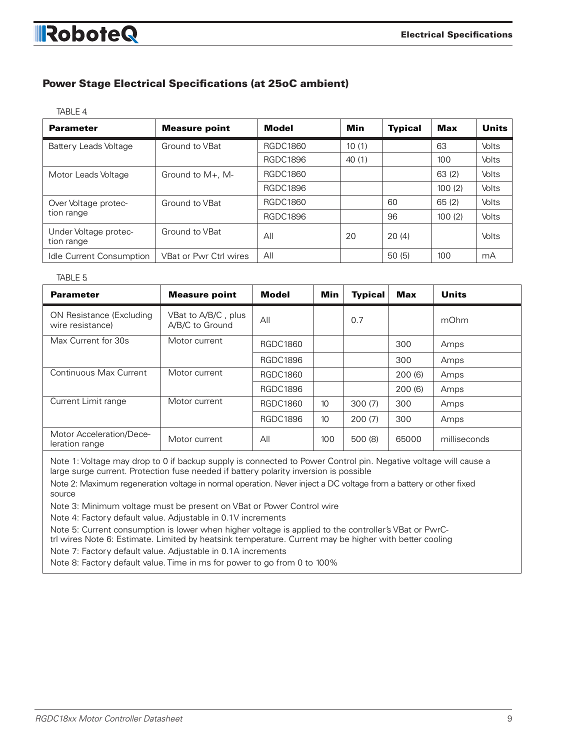## **IRoboteQ**

#### Power Stage Electrical Specifications (at 25oC ambient)

TABLE 4.

| <b>Parameter</b>                    | <b>Measure point</b>   | Model           | Min   | <b>Typical</b> | Max    | Units        |
|-------------------------------------|------------------------|-----------------|-------|----------------|--------|--------------|
| Battery Leads Voltage               | Ground to VBat         | RGDC1860        | 10(1) |                | 63     | <b>Volts</b> |
|                                     |                        | <b>RGDC1896</b> | 40(1) |                | 100    | Volts        |
| Motor Leads Voltage                 | Ground to $M_{+}$ , M- | RGDC1860        |       |                | 63(2)  | <b>Volts</b> |
|                                     |                        | RGDC1896        |       |                | 100(2) | Volts        |
| Over Voltage protec-                | Ground to VBat         | <b>RGDC1860</b> |       | 60             | 65(2)  | <b>Volts</b> |
| tion range                          |                        | <b>RGDC1896</b> |       | 96             | 100(2) | Volts        |
| Under Voltage protec-<br>tion range | Ground to VBat         | All             | 20    | 20(4)          |        | Volts        |
| Idle Current Consumption            | VBat or Pwr Ctrl wires | All             |       | 50(5)          | 100    | mA           |

#### TABLE 5.

| <b>Parameter</b>                             | <b>Measure point</b>                   | Model           | Min | <b>Typical</b> | Max    | <b>Units</b> |
|----------------------------------------------|----------------------------------------|-----------------|-----|----------------|--------|--------------|
| ON Resistance (Excluding<br>wire resistance) | VBat to A/B/C, plus<br>A/B/C to Ground | All             |     | 0.7            |        | mOhm         |
| Max Current for 30s                          | Motor current                          | RGDC1860        |     |                | 300    | Amps         |
|                                              |                                        | <b>RGDC1896</b> |     |                | 300    | Amps         |
| Continuous Max Current                       | Motor current                          | RGDC1860        |     |                | 200(6) | Amps         |
|                                              |                                        | <b>RGDC1896</b> |     |                | 200(6) | Amps         |
| Current Limit range                          | Motor current                          | RGDC1860        | 10  | 300(7)         | 300    | Amps         |
|                                              |                                        | <b>RGDC1896</b> | 10  | 200(7)         | 300    | Amps         |
| Motor Acceleration/Dece-<br>leration range   | Motor current                          | All             | 100 | 500 (8)        | 65000  | milliseconds |

Note 1: Voltage may drop to 0 if backup supply is connected to Power Control pin. Negative voltage will cause a large surge current. Protection fuse needed if battery polarity inversion is possible

Note 2: Maximum regeneration voltage in normal operation. Never inject a DC voltage from a battery or other fixed source

Note 3: Minimum voltage must be present on VBat or Power Control wire

Note 4: Factory default value. Adjustable in 0.1V increments

Note 5: Current consumption is lower when higher voltage is applied to the controller's VBat or PwrC-

trl wires Note 6: Estimate. Limited by heatsink temperature. Current may be higher with better cooling

Note 7: Factory default value. Adjustable in 0.1A increments

Note 8: Factory default value. Time in ms for power to go from 0 to 100%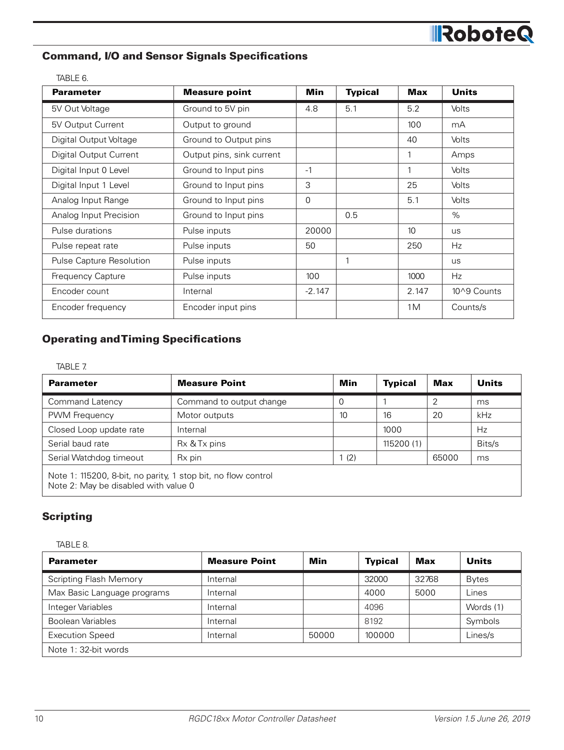# RoboteQ

#### Command, I/O and Sensor Signals Specifications

| TABLE 6.                 |                           |                |                |                  |              |
|--------------------------|---------------------------|----------------|----------------|------------------|--------------|
| <b>Parameter</b>         | <b>Measure point</b>      | <b>Min</b>     | <b>Typical</b> | <b>Max</b>       | <b>Units</b> |
| 5V Out Voltage           | Ground to 5V pin          | 4.8            | 5.1            | 5.2              | <b>Volts</b> |
| 5V Output Current        | Output to ground          |                |                | 100              | mA           |
| Digital Output Voltage   | Ground to Output pins     |                |                | 40               | Volts        |
| Digital Output Current   | Output pins, sink current |                |                | 1                | Amps         |
| Digital Input 0 Level    | Ground to Input pins      | $-1$           |                | 1                | Volts        |
| Digital Input 1 Level    | Ground to Input pins      | 3              |                | 25               | Volts        |
| Analog Input Range       | Ground to Input pins      | $\overline{0}$ |                | 5.1              | Volts        |
| Analog Input Precision   | Ground to Input pins      |                | 0.5            |                  | $\%$         |
| Pulse durations          | Pulse inputs              | 20000          |                | 10 <sup>10</sup> | <b>US</b>    |
| Pulse repeat rate        | Pulse inputs              | 50             |                | 250              | Hz.          |
| Pulse Capture Resolution | Pulse inputs              |                | 1              |                  | <b>us</b>    |
| Frequency Capture        | Pulse inputs              | 100            |                | 1000             | Hz.          |
| Encoder count            | Internal                  | $-2.147$       |                | 2.147            | 10^9 Counts  |
| Encoder frequency        | Encoder input pins        |                |                | 1M               | Counts/s     |

#### Operating and Timing Specifications

TABLE 7.

| <b>Parameter</b>                                                                                      | <b>Measure Point</b>     | Min | <b>Typical</b> | Max   | Units  |
|-------------------------------------------------------------------------------------------------------|--------------------------|-----|----------------|-------|--------|
| <b>Command Latency</b>                                                                                | Command to output change | 0   |                | 2     | ms     |
| PWM Frequency                                                                                         | Motor outputs            | 10  | 16             | 20    | kHz    |
| Closed Loop update rate                                                                               | Internal                 |     | 1000           |       | Hz     |
| Serial baud rate                                                                                      | Rx & Tx pins             |     | 115200 (1)     |       | Bits/s |
| Serial Watchdog timeout                                                                               | Rx pin                   | (2) |                | 65000 | ms     |
| Note 1: 115200, 8-bit, no parity, 1 stop bit, no flow control<br>Note 2: May be disabled with value 0 |                          |     |                |       |        |

#### **Scripting**

TABLE 8.

| <b>Parameter</b>              | <b>Measure Point</b> | Min   | <b>Typical</b> | Max   | <b>Units</b> |
|-------------------------------|----------------------|-------|----------------|-------|--------------|
| <b>Scripting Flash Memory</b> | Internal             |       | 32000          | 32768 | <b>Bytes</b> |
| Max Basic Language programs   | Internal             |       | 4000           | 5000  | Lines        |
| Integer Variables             | Internal             |       | 4096           |       | Words (1)    |
| Boolean Variables             | Internal             |       | 8192           |       | Symbols      |
| <b>Execution Speed</b>        | Internal             | 50000 | 100000         |       | Lines/s      |
| Note 1: 32-bit words          |                      |       |                |       |              |